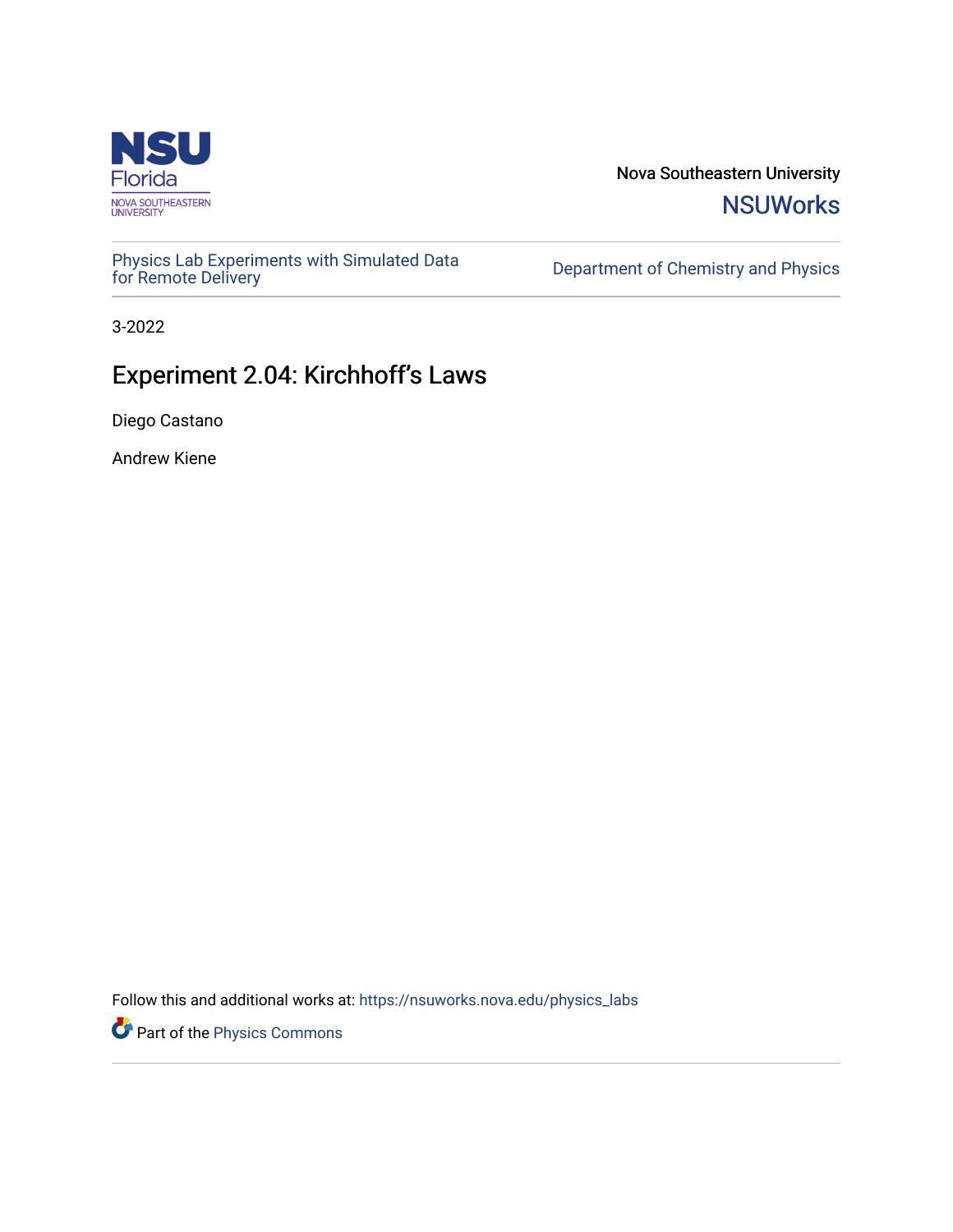

Nova Southeastern University **NSUWorks** 

[Physics Lab Experiments with Simulated Data](https://nsuworks.nova.edu/physics_labs) Department of Chemistry and Physics<br>for Remote Delivery

3-2022

# Experiment 2.04: Kirchhoff's Laws

Diego Castano

Andrew Kiene

Follow this and additional works at: [https://nsuworks.nova.edu/physics\\_labs](https://nsuworks.nova.edu/physics_labs?utm_source=nsuworks.nova.edu%2Fphysics_labs%2F17&utm_medium=PDF&utm_campaign=PDFCoverPages)

Part of the [Physics Commons](http://network.bepress.com/hgg/discipline/193?utm_source=nsuworks.nova.edu%2Fphysics_labs%2F17&utm_medium=PDF&utm_campaign=PDFCoverPages)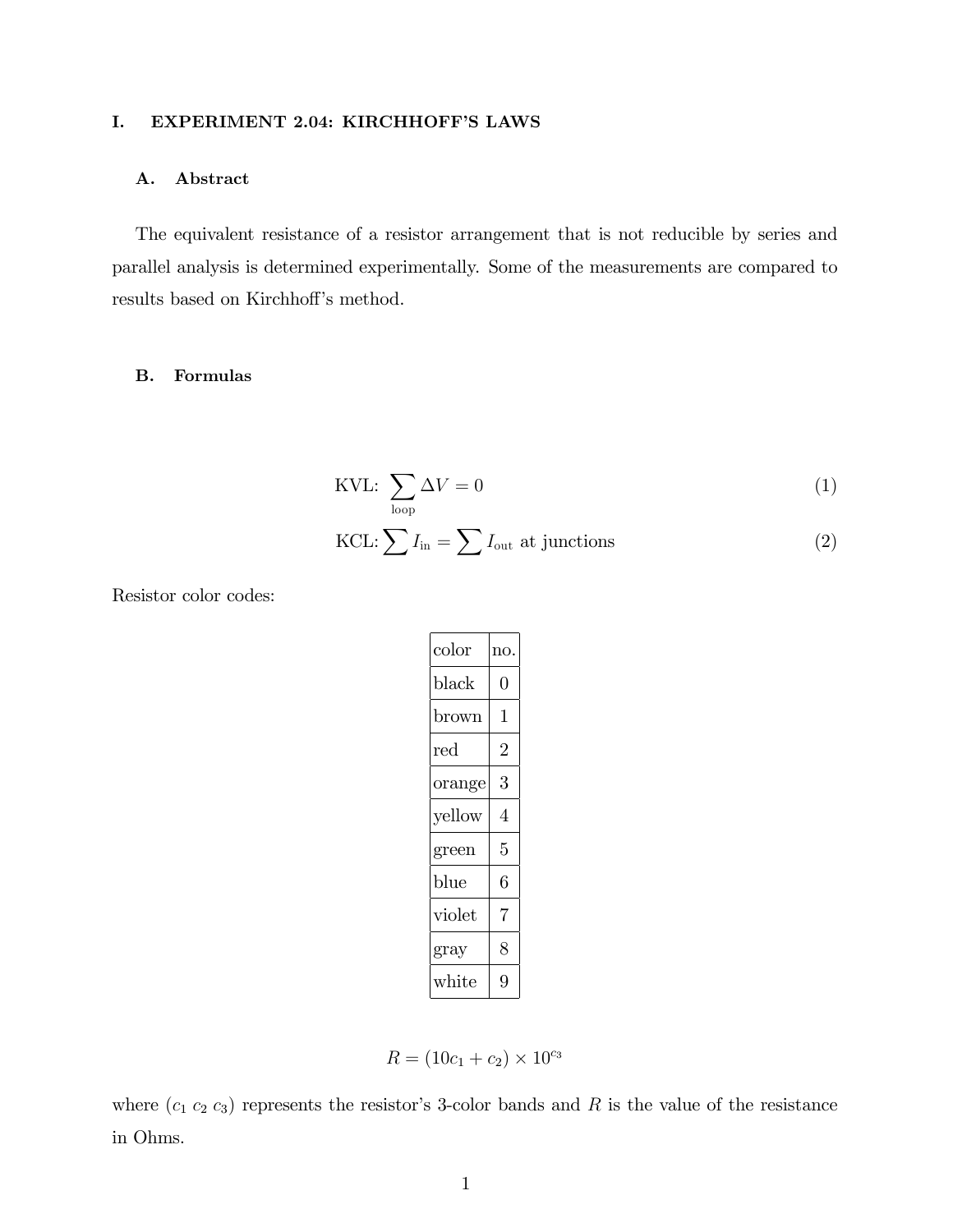# I. EXPERIMENT 2.04: KIRCHHOFF'S LAWS

## A. Abstract

The equivalent resistance of a resistor arrangement that is not reducible by series and parallel analysis is determined experimentally. Some of the measurements are compared to results based on Kirchhoff's method.

## B. Formulas

KVL: 
$$
\sum_{\text{loop}} \Delta V = 0 \tag{1}
$$

KCL: 
$$
\sum I_{\text{in}} = \sum I_{\text{out}}
$$
 at junctions (2)

Resistor color codes:

| $_{\rm color}$ | no. |
|----------------|-----|
| black          | 0   |
| brown          | 1   |
| red            | 2   |
| orange         | 3   |
| yellow         | 4   |
| green          | 5   |
| blue           | 6   |
| violet         | 7   |
| gray           | 8   |
| $\rm white$    | g   |

$$
R = (10c_1 + c_2) \times 10^{c_3}
$$

where  $(c_1 c_2 c_3)$  represents the resistor's 3-color bands and R is the value of the resistance in Ohms.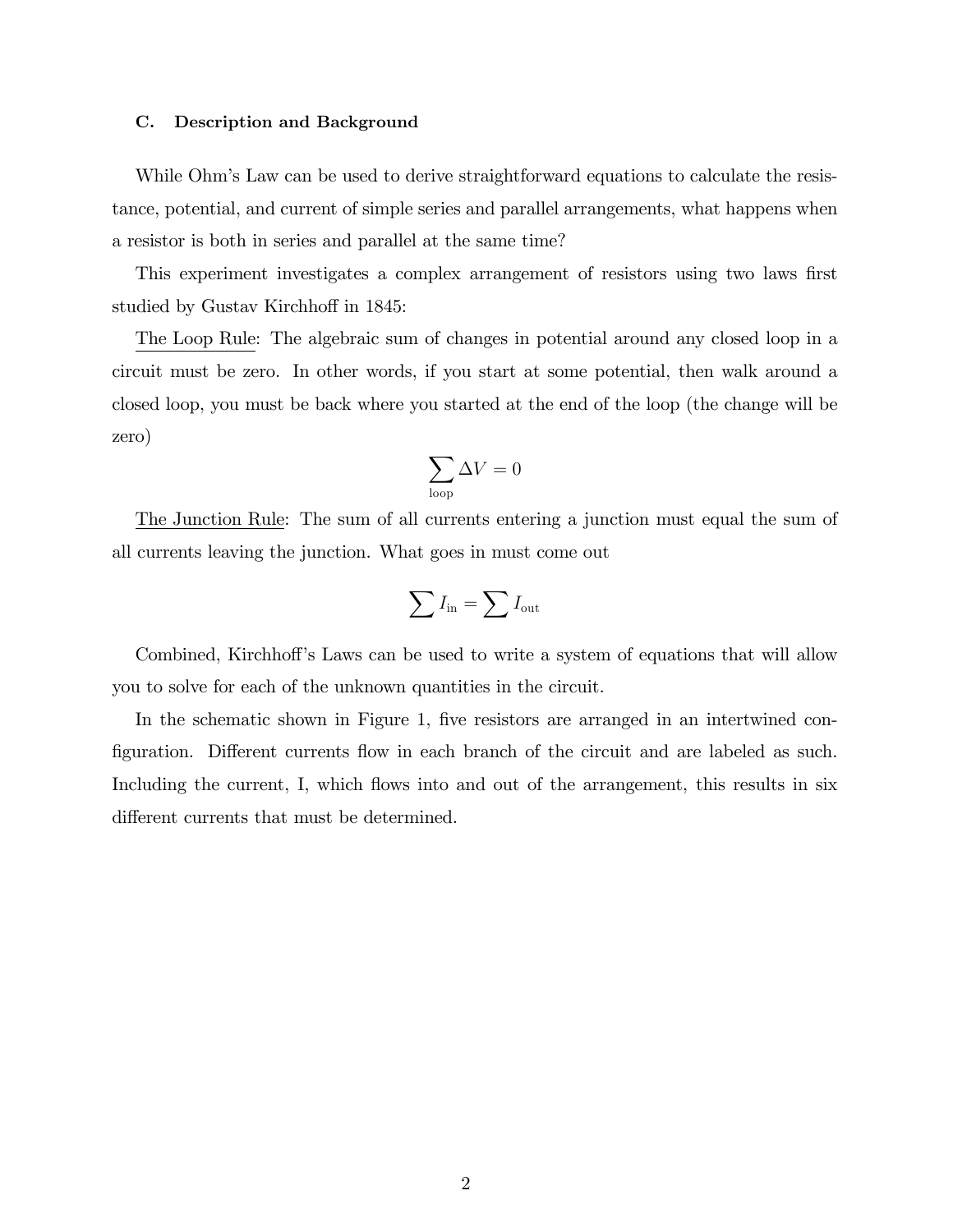#### C. Description and Background

While Ohm's Law can be used to derive straightforward equations to calculate the resistance, potential, and current of simple series and parallel arrangements, what happens when a resistor is both in series and parallel at the same time?

This experiment investigates a complex arrangement of resistors using two laws first studied by Gustav Kirchhoff in 1845:

The Loop Rule: The algebraic sum of changes in potential around any closed loop in a circuit must be zero. In other words, if you start at some potential, then walk around a closed loop, you must be back where you started at the end of the loop (the change will be zero)

$$
\sum_{\text{loop}} \Delta V = 0
$$

The Junction Rule: The sum of all currents entering a junction must equal the sum of all currents leaving the junction. What goes in must come out

$$
\sum I_{\rm in} = \sum I_{\rm out}
$$

Combined, Kirchhoff's Laws can be used to write a system of equations that will allow you to solve for each of the unknown quantities in the circuit.

In the schematic shown in Figure 1, five resistors are arranged in an intertwined configuration. Different currents flow in each branch of the circuit and are labeled as such. Including the current, I, which flows into and out of the arrangement, this results in six different currents that must be determined.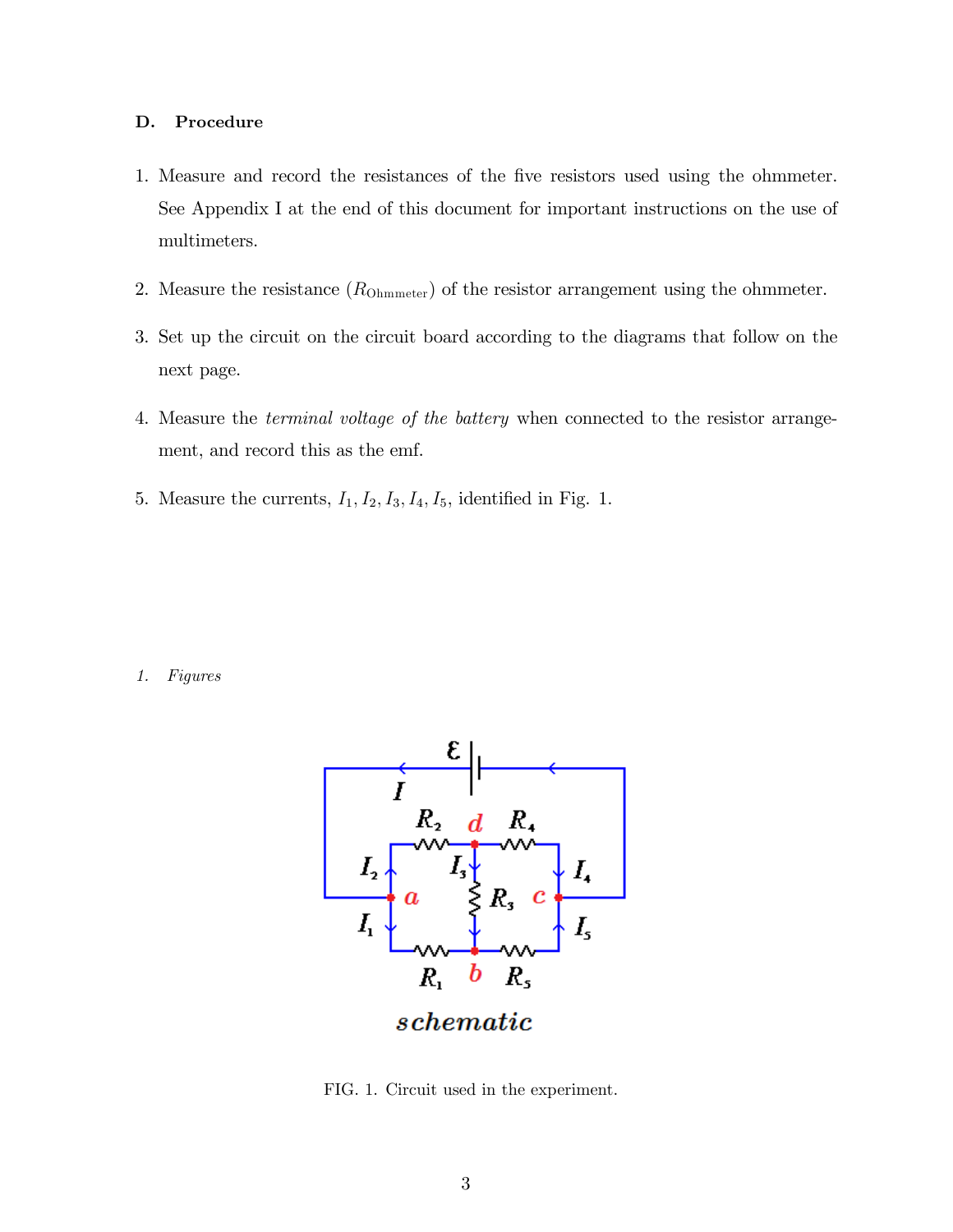## D. Procedure

- 1. Measure and record the resistances of the Öve resistors used using the ohmmeter. See Appendix I at the end of this document for important instructions on the use of multimeters.
- 2. Measure the resistance  $(R_{\text{Ohmmeter}})$  of the resistor arrangement using the ohmmeter.
- 3. Set up the circuit on the circuit board according to the diagrams that follow on the next page.
- 4. Measure the terminal voltage of the battery when connected to the resistor arrangement, and record this as the emf.
- 5. Measure the currents,  $I_1, I_2, I_3, I_4, I_5$ , identified in Fig. 1.

1. Figures



FIG. 1. Circuit used in the experiment.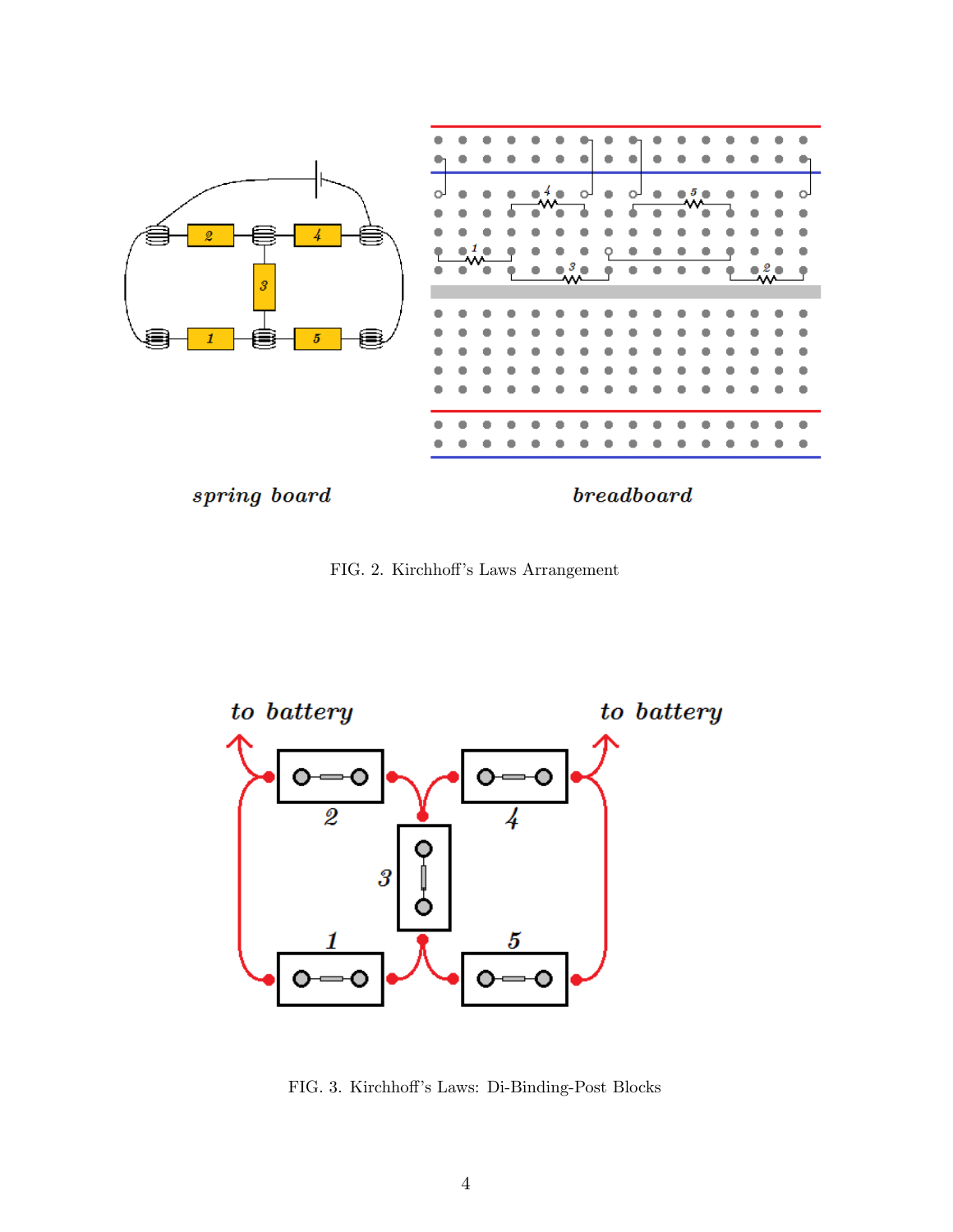

spring board

 $be a a *db* a *rr* d$ 

FIG. 2. Kirchhoff's Laws Arrangement



FIG. 3. Kirchhoff's Laws: Di-Binding-Post Blocks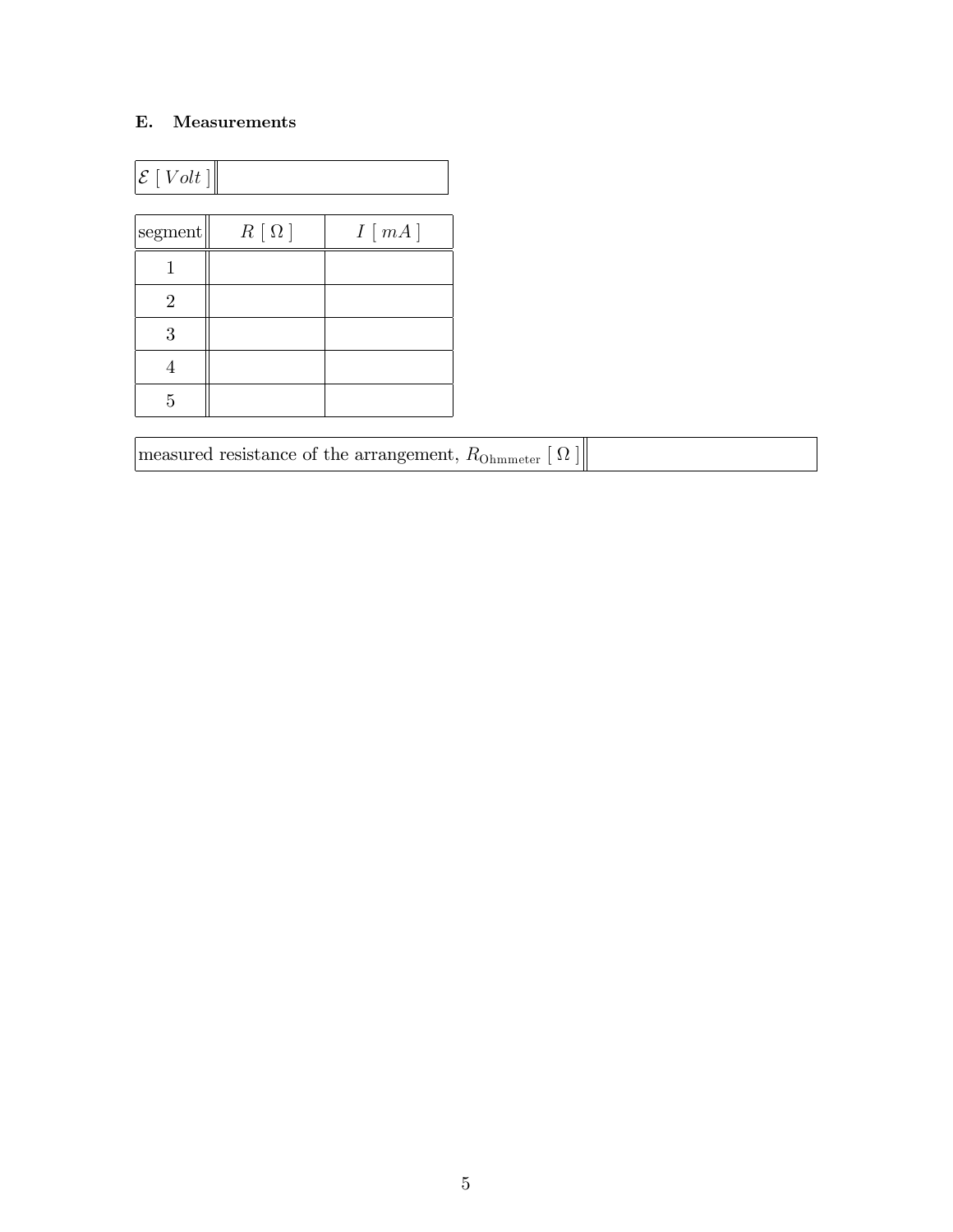# E. Measurements

| $\mathcal{E}[Volt]$ |             |       |  |  |
|---------------------|-------------|-------|--|--|
| segment             | $R[\Omega]$ | I[mA] |  |  |
|                     |             |       |  |  |
| $\overline{2}$      |             |       |  |  |
| 3                   |             |       |  |  |
|                     |             |       |  |  |
| 5                   |             |       |  |  |

| measured resistance of the arrangement, $R_{\text{Ohmmeter}} [\Omega]$ |  |  |
|------------------------------------------------------------------------|--|--|
|------------------------------------------------------------------------|--|--|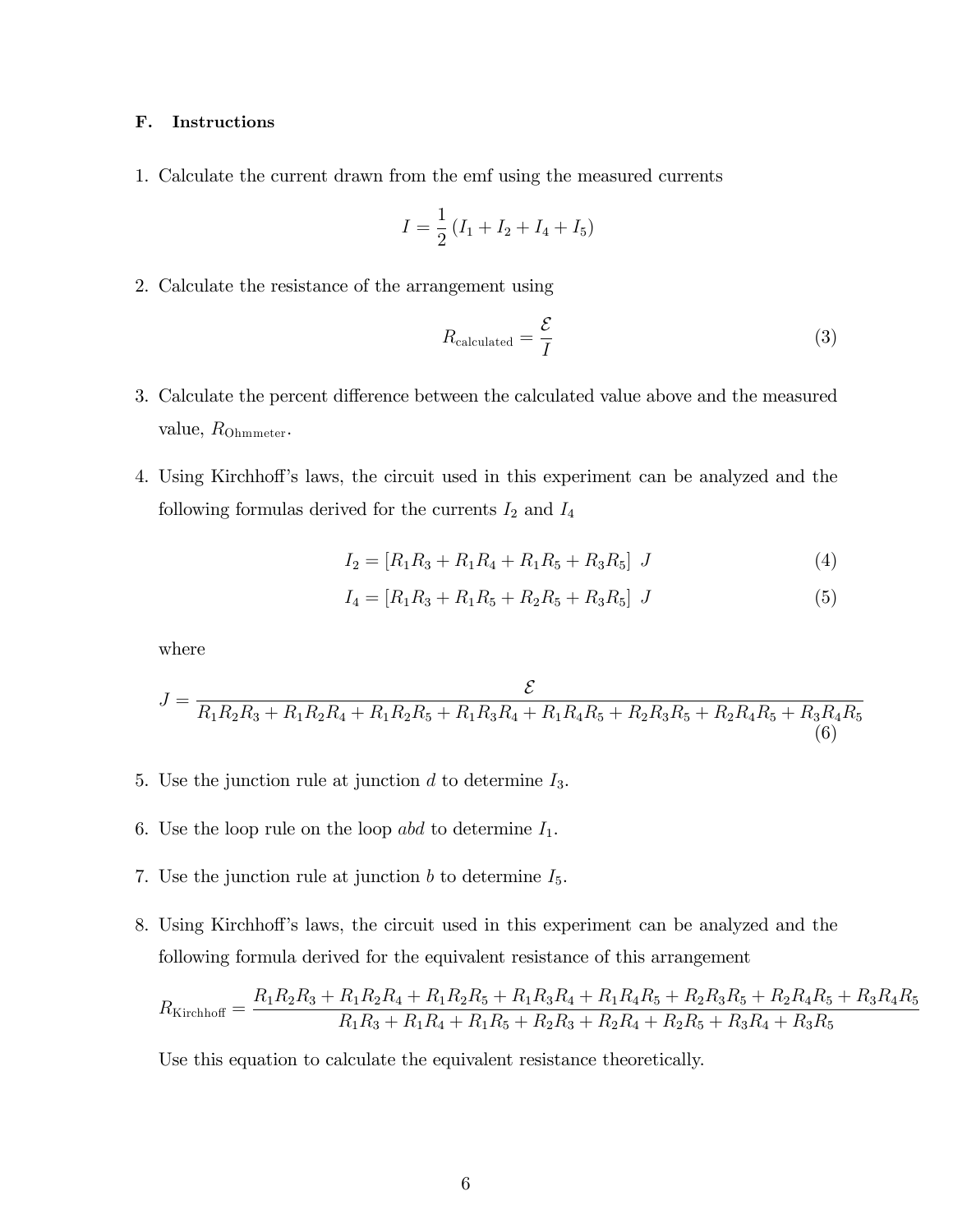## F. Instructions

1. Calculate the current drawn from the emf using the measured currents

$$
I = \frac{1}{2} (I_1 + I_2 + I_4 + I_5)
$$

2. Calculate the resistance of the arrangement using

$$
R_{\text{calculated}} = \frac{\mathcal{E}}{I} \tag{3}
$$

- 3. Calculate the percent difference between the calculated value above and the measured value,  $R_{\text{Ohmmeter}}$ .
- 4. Using Kirchhoff's laws, the circuit used in this experiment can be analyzed and the following formulas derived for the currents  $I_2$  and  $I_4$

$$
I_2 = [R_1 R_3 + R_1 R_4 + R_1 R_5 + R_3 R_5] J \tag{4}
$$

$$
I_4 = [R_1 R_3 + R_1 R_5 + R_2 R_5 + R_3 R_5] J \tag{5}
$$

where

$$
J = \frac{\mathcal{E}}{R_1 R_2 R_3 + R_1 R_2 R_4 + R_1 R_2 R_5 + R_1 R_3 R_4 + R_1 R_4 R_5 + R_2 R_3 R_5 + R_2 R_4 R_5 + R_3 R_4 R_5}
$$
(6)

- 5. Use the junction rule at junction  $d$  to determine  $I_3$ .
- 6. Use the loop rule on the loop abd to determine  $I_1$ .
- 7. Use the junction rule at junction  $b$  to determine  $I_5$ .
- 8. Using Kirchhoff's laws, the circuit used in this experiment can be analyzed and the following formula derived for the equivalent resistance of this arrangement

$$
R_{\text{Kirchhoff}} = \frac{R_1 R_2 R_3 + R_1 R_2 R_4 + R_1 R_2 R_5 + R_1 R_3 R_4 + R_1 R_4 R_5 + R_2 R_3 R_5 + R_2 R_4 R_5 + R_3 R_4 R_5}{R_1 R_3 + R_1 R_4 + R_1 R_5 + R_2 R_3 + R_2 R_4 + R_2 R_5 + R_3 R_4 + R_3 R_5}
$$

Use this equation to calculate the equivalent resistance theoretically.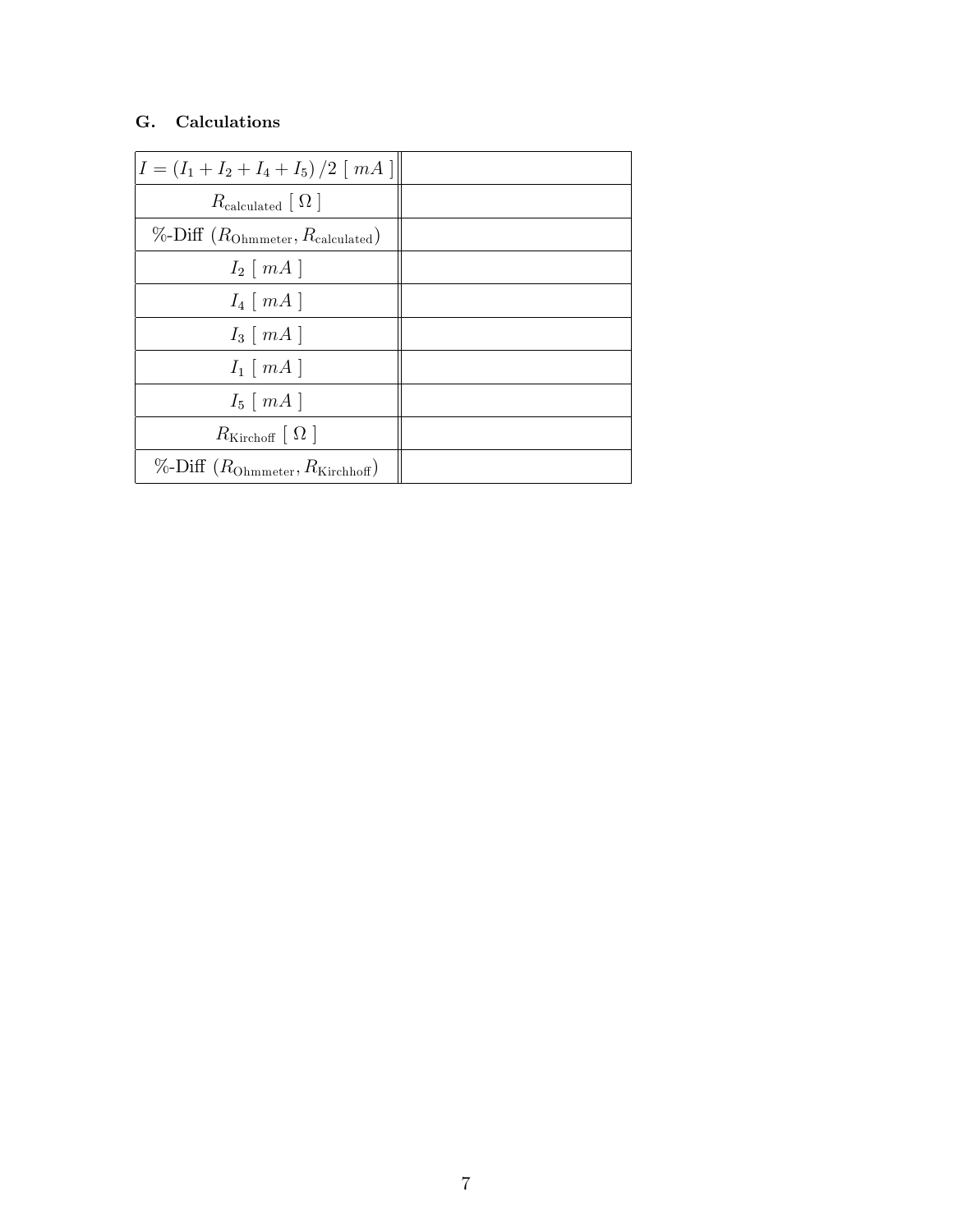# G. Calculations

| $I = (I_1 + I_2 + I_4 + I_5)/2$ [ <i>mA</i> ]               |  |
|-------------------------------------------------------------|--|
| $R_{\rm calculated} \mid \Omega \mid$                       |  |
| $\%$ -Diff ( $R_{\text{Ohmmeter}}, R_{\text{calculated}}$ ) |  |
| $I_2 \mid mA \mid$                                          |  |
| $I_4 \mid mA \mid$                                          |  |
| $I_3 \mid mA \mid$                                          |  |
| $I_1 \mid mA \mid$                                          |  |
| $I_5 \mid mA \mid$                                          |  |
| $R_{\text{Kirchoff}} \mid \Omega \mid$                      |  |
| $\%$ -Diff $(R_{\text{Ohmmeter}}, R_{\text{Kirchhoff}})$    |  |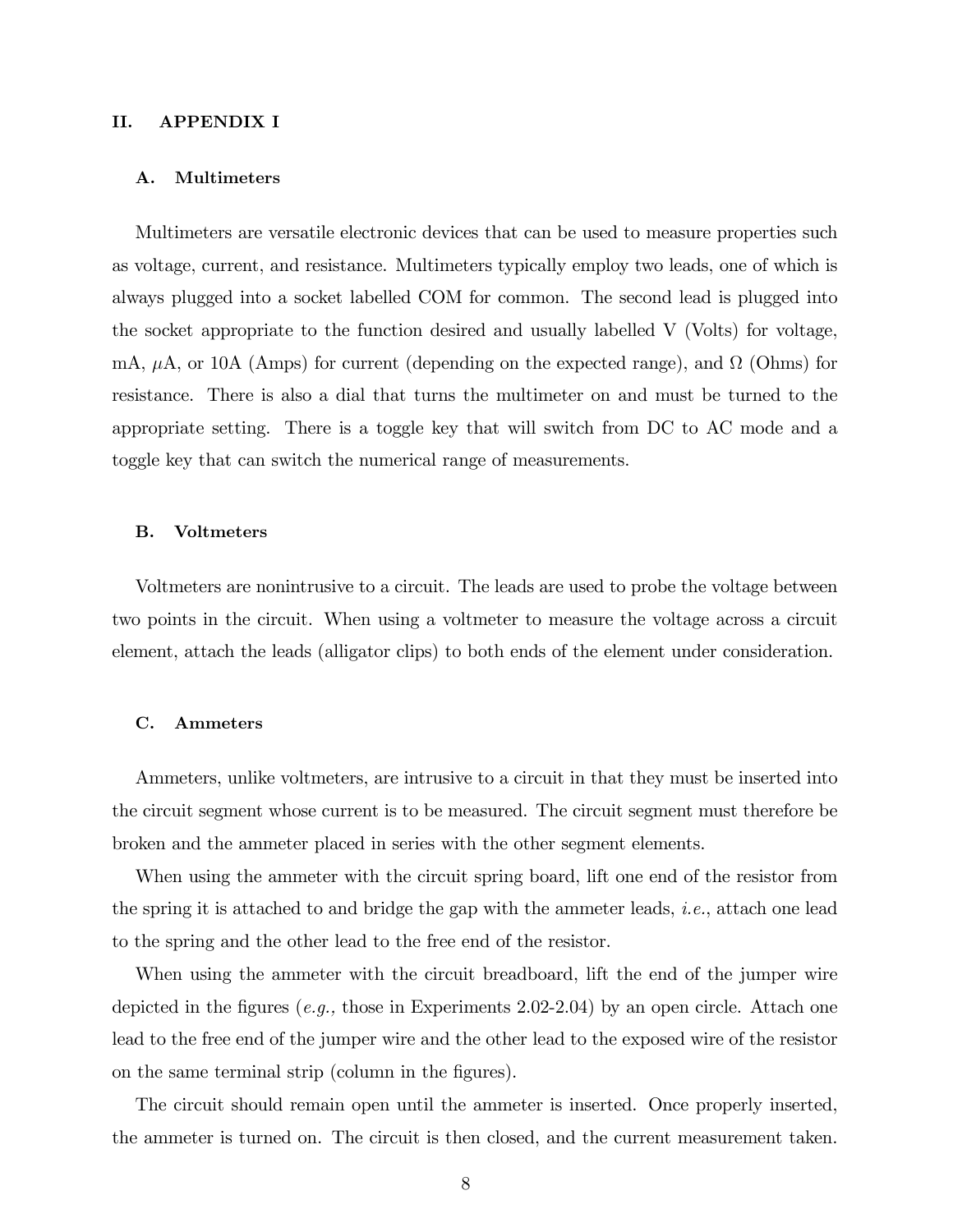### II. APPENDIX I

#### A. Multimeters

Multimeters are versatile electronic devices that can be used to measure properties such as voltage, current, and resistance. Multimeters typically employ two leads, one of which is always plugged into a socket labelled COM for common. The second lead is plugged into the socket appropriate to the function desired and usually labelled V (Volts) for voltage, mA,  $\mu$ A, or 10A (Amps) for current (depending on the expected range), and  $\Omega$  (Ohms) for resistance. There is also a dial that turns the multimeter on and must be turned to the appropriate setting. There is a toggle key that will switch from DC to AC mode and a toggle key that can switch the numerical range of measurements.

#### B. Voltmeters

Voltmeters are nonintrusive to a circuit. The leads are used to probe the voltage between two points in the circuit. When using a voltmeter to measure the voltage across a circuit element, attach the leads (alligator clips) to both ends of the element under consideration.

#### C. Ammeters

Ammeters, unlike voltmeters, are intrusive to a circuit in that they must be inserted into the circuit segment whose current is to be measured. The circuit segment must therefore be broken and the ammeter placed in series with the other segment elements.

When using the ammeter with the circuit spring board, lift one end of the resistor from the spring it is attached to and bridge the gap with the ammeter leads, *i.e.*, attach one lead to the spring and the other lead to the free end of the resistor.

When using the ammeter with the circuit breadboard, lift the end of the jumper wire depicted in the figures (e.g., those in Experiments 2.02-2.04) by an open circle. Attach one lead to the free end of the jumper wire and the other lead to the exposed wire of the resistor on the same terminal strip (column in the figures).

The circuit should remain open until the ammeter is inserted. Once properly inserted, the ammeter is turned on. The circuit is then closed, and the current measurement taken.